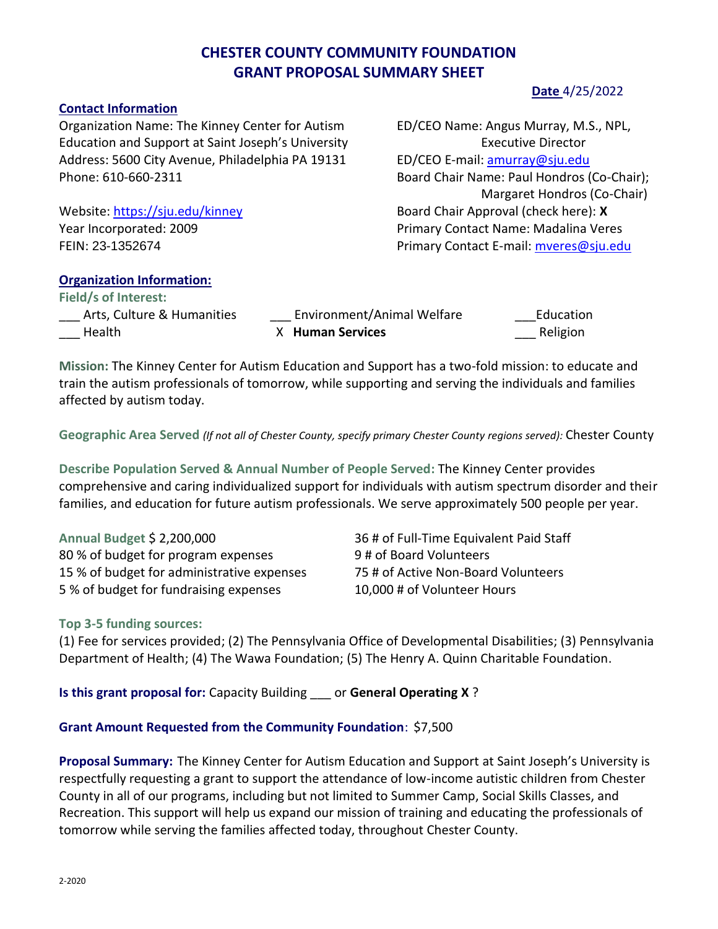# **CHESTER COUNTY COMMUNITY FOUNDATION GRANT PROPOSAL SUMMARY SHEET**

#### **Contact Information**

Organization Name: The Kinney Center for Autism ED/CEO Name: Angus Murray, M.S., NPL, Education and Support at Saint Joseph's University Executive Director Address: 5600 City Avenue, Philadelphia PA 19131 ED/CEO E-mail: [amurray@sju.edu](mailto:amurray@sju.edu) Phone: 610-660-2311 Board Chair Name: Paul Hondros (Co-Chair);

Website: <https://sju.edu/kinney> and the source of Board Chair Approval (check here): **X** Year Incorporated: 2009 Primary Contact Name: Madalina Veres FEIN: 23-1352674 Primary Contact E-mail: [mveres@sju.edu](mailto:mveres@sju.edu)

### **Organization Information:**

**Field/s of Interest:**  \_\_\_ Arts, Culture & Humanities \_\_\_\_ Environment/Animal Welfare \_\_\_\_\_\_\_\_\_\_Education \_\_\_ Health X **Human Services** \_\_\_ Religion

**Mission:** The Kinney Center for Autism Education and Support has a two-fold mission: to educate and train the autism professionals of tomorrow, while supporting and serving the individuals and families affected by autism today.

**Geographic Area Served** *(If not all of Chester County, specify primary Chester County regions served):* Chester County

**Describe Population Served & Annual Number of People Served:** The Kinney Center provides comprehensive and caring individualized support for individuals with autism spectrum disorder and their families, and education for future autism professionals. We serve approximately 500 people per year.

**Annual Budget** \$ 2,200,000 36 # of Full-Time Equivalent Paid Staff 80 % of budget for program expenses 9 # of Board Volunteers 15 % of budget for administrative expenses 75 # of Active Non-Board Volunteers 5 % of budget for fundraising expenses 10,000 # of Volunteer Hours

## **Top 3-5 funding sources:**

(1) Fee for services provided; (2) The Pennsylvania Office of Developmental Disabilities; (3) Pennsylvania Department of Health; (4) The Wawa Foundation; (5) The Henry A. Quinn Charitable Foundation.

**Is this grant proposal for:** Capacity Building \_\_\_ or **General Operating X** ?

## **Grant Amount Requested from the Community Foundation**: \$7,500

**Proposal Summary:** The Kinney Center for Autism Education and Support at Saint Joseph's University is respectfully requesting a grant to support the attendance of low-income autistic children from Chester County in all of our programs, including but not limited to Summer Camp, Social Skills Classes, and Recreation. This support will help us expand our mission of training and educating the professionals of tomorrow while serving the families affected today, throughout Chester County.

## **Date** 4/25/2022

Margaret Hondros (Co-Chair)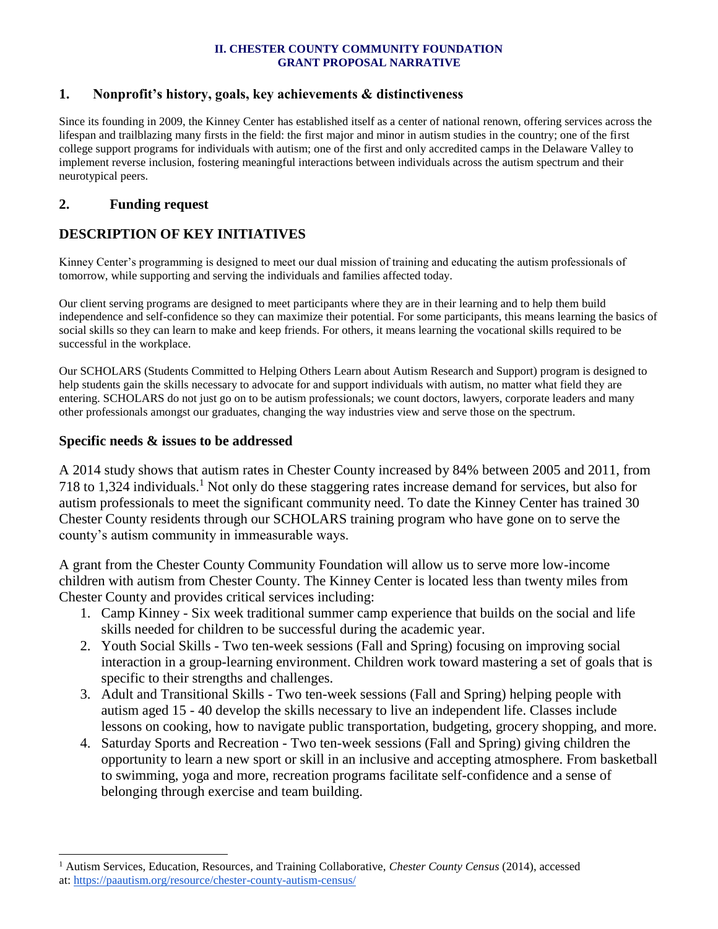#### **II. CHESTER COUNTY COMMUNITY FOUNDATION GRANT PROPOSAL NARRATIVE**

#### **1. Nonprofit's history, goals, key achievements & distinctiveness**

Since its founding in 2009, the Kinney Center has established itself as a center of national renown, offering services across the lifespan and trailblazing many firsts in the field: the first major and minor in autism studies in the country; one of the first college support programs for individuals with autism; one of the first and only accredited camps in the Delaware Valley to implement reverse inclusion, fostering meaningful interactions between individuals across the autism spectrum and their neurotypical peers.

## **2. Funding request**

## **DESCRIPTION OF KEY INITIATIVES**

Kinney Center's programming is designed to meet our dual mission of training and educating the autism professionals of tomorrow, while supporting and serving the individuals and families affected today.

Our client serving programs are designed to meet participants where they are in their learning and to help them build independence and self-confidence so they can maximize their potential. For some participants, this means learning the basics of social skills so they can learn to make and keep friends. For others, it means learning the vocational skills required to be successful in the workplace.

Our SCHOLARS (Students Committed to Helping Others Learn about Autism Research and Support) program is designed to help students gain the skills necessary to advocate for and support individuals with autism, no matter what field they are entering. SCHOLARS do not just go on to be autism professionals; we count doctors, lawyers, corporate leaders and many other professionals amongst our graduates, changing the way industries view and serve those on the spectrum.

#### **Specific needs & issues to be addressed**

l

A 2014 study shows that autism rates in Chester County increased by 84% between 2005 and 2011, from 718 to 1,324 individuals.<sup>1</sup> Not only do these staggering rates increase demand for services, but also for autism professionals to meet the significant community need. To date the Kinney Center has trained 30 Chester County residents through our SCHOLARS training program who have gone on to serve the county's autism community in immeasurable ways.

A grant from the Chester County Community Foundation will allow us to serve more low-income children with autism from Chester County. The Kinney Center is located less than twenty miles from Chester County and provides critical services including:

- 1. Camp Kinney Six week traditional summer camp experience that builds on the social and life skills needed for children to be successful during the academic year.
- 2. Youth Social Skills Two ten-week sessions (Fall and Spring) focusing on improving social interaction in a group-learning environment. Children work toward mastering a set of goals that is specific to their strengths and challenges.
- 3. Adult and Transitional Skills Two ten-week sessions (Fall and Spring) helping people with autism aged 15 - 40 develop the skills necessary to live an independent life. Classes include lessons on cooking, how to navigate public transportation, budgeting, grocery shopping, and more.
- 4. Saturday Sports and Recreation Two ten-week sessions (Fall and Spring) giving children the opportunity to learn a new sport or skill in an inclusive and accepting atmosphere. From basketball to swimming, yoga and more, recreation programs facilitate self-confidence and a sense of belonging through exercise and team building.

<sup>1</sup> Autism Services, Education, Resources, and Training Collaborative, *Chester County Census* (2014), accessed at: <https://paautism.org/resource/chester-county-autism-census/>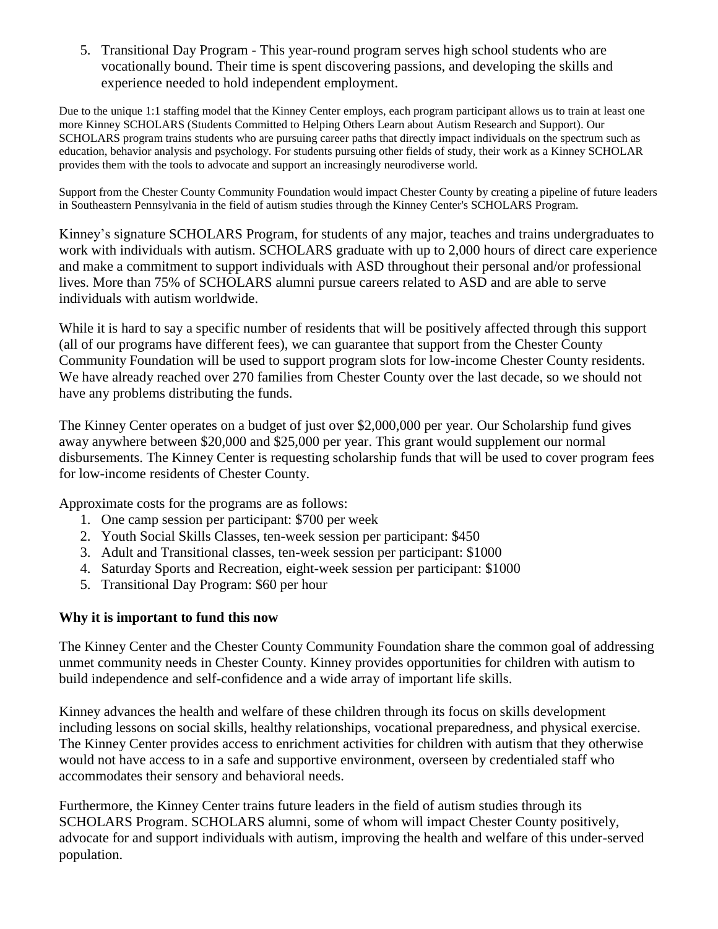5. Transitional Day Program - This year-round program serves high school students who are vocationally bound. Their time is spent discovering passions, and developing the skills and experience needed to hold independent employment.

Due to the unique 1:1 staffing model that the Kinney Center employs, each program participant allows us to train at least one more Kinney SCHOLARS (Students Committed to Helping Others Learn about Autism Research and Support). Our SCHOLARS program trains students who are pursuing career paths that directly impact individuals on the spectrum such as education, behavior analysis and psychology. For students pursuing other fields of study, their work as a Kinney SCHOLAR provides them with the tools to advocate and support an increasingly neurodiverse world.

Support from the Chester County Community Foundation would impact Chester County by creating a pipeline of future leaders in Southeastern Pennsylvania in the field of autism studies through the Kinney Center's SCHOLARS Program.

Kinney's signature SCHOLARS Program, for students of any major, teaches and trains undergraduates to work with individuals with autism. SCHOLARS graduate with up to 2,000 hours of direct care experience and make a commitment to support individuals with ASD throughout their personal and/or professional lives. More than 75% of SCHOLARS alumni pursue careers related to ASD and are able to serve individuals with autism worldwide.

While it is hard to say a specific number of residents that will be positively affected through this support (all of our programs have different fees), we can guarantee that support from the Chester County Community Foundation will be used to support program slots for low-income Chester County residents. We have already reached over 270 families from Chester County over the last decade, so we should not have any problems distributing the funds.

The Kinney Center operates on a budget of just over \$2,000,000 per year. Our Scholarship fund gives away anywhere between \$20,000 and \$25,000 per year. This grant would supplement our normal disbursements. The Kinney Center is requesting scholarship funds that will be used to cover program fees for low-income residents of Chester County.

Approximate costs for the programs are as follows:

- 1. One camp session per participant: \$700 per week
- 2. Youth Social Skills Classes, ten-week session per participant: \$450
- 3. Adult and Transitional classes, ten-week session per participant: \$1000
- 4. Saturday Sports and Recreation, eight-week session per participant: \$1000
- 5. Transitional Day Program: \$60 per hour

## **Why it is important to fund this now**

The Kinney Center and the Chester County Community Foundation share the common goal of addressing unmet community needs in Chester County. Kinney provides opportunities for children with autism to build independence and self-confidence and a wide array of important life skills.

Kinney advances the health and welfare of these children through its focus on skills development including lessons on social skills, healthy relationships, vocational preparedness, and physical exercise. The Kinney Center provides access to enrichment activities for children with autism that they otherwise would not have access to in a safe and supportive environment, overseen by credentialed staff who accommodates their sensory and behavioral needs.

Furthermore, the Kinney Center trains future leaders in the field of autism studies through its SCHOLARS Program. SCHOLARS alumni, some of whom will impact Chester County positively, advocate for and support individuals with autism, improving the health and welfare of this under-served population.